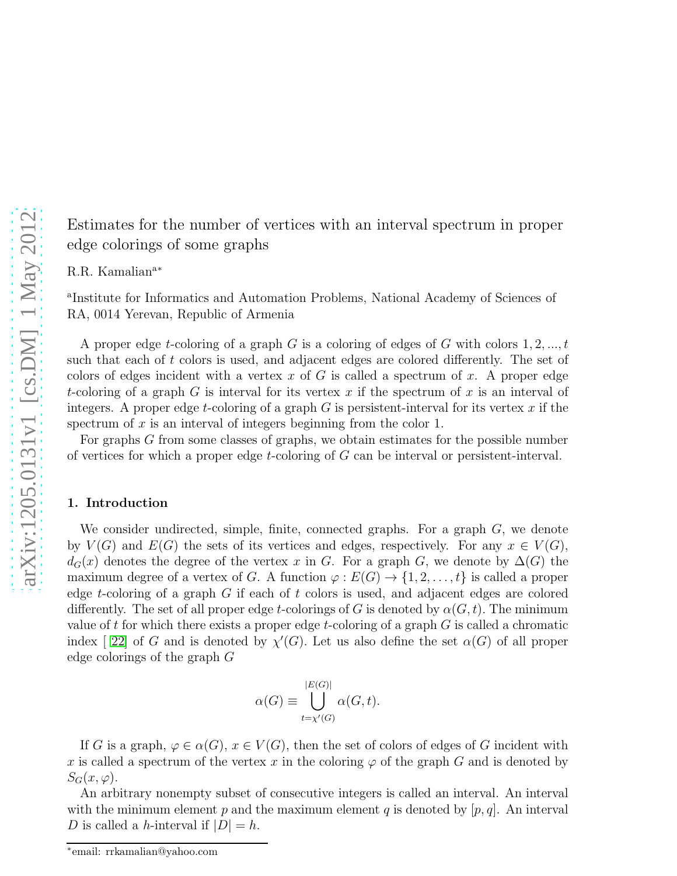R.R. Kamalian<sup>a</sup>\*

a Institute for Informatics and Automation Problems, National Academy of Sciences of RA, 0014 Yerevan, Republic of Armenia

A proper edge t-coloring of a graph G is a coloring of edges of G with colors  $1, 2, ..., t$ such that each of t colors is used, and adjacent edges are colored differently. The set of colors of edges incident with a vertex  $x$  of  $G$  is called a spectrum of  $x$ . A proper edge t-coloring of a graph G is interval for its vertex x if the spectrum of x is an interval of integers. A proper edge t-coloring of a graph  $G$  is persistent-interval for its vertex  $x$  if the spectrum of  $x$  is an interval of integers beginning from the color 1.

For graphs G from some classes of graphs, we obtain estimates for the possible number of vertices for which a proper edge  $t$ -coloring of  $G$  can be interval or persistent-interval.

#### 1. Introduction

We consider undirected, simple, finite, connected graphs. For a graph  $G$ , we denote by  $V(G)$  and  $E(G)$  the sets of its vertices and edges, respectively. For any  $x \in V(G)$ ,  $d_G(x)$  denotes the degree of the vertex x in G. For a graph G, we denote by  $\Delta(G)$  the maximum degree of a vertex of G. A function  $\varphi : E(G) \to \{1, 2, \ldots, t\}$  is called a proper edge t-coloring of a graph  $G$  if each of  $t$  colors is used, and adjacent edges are colored differently. The set of all proper edge t-colorings of G is denoted by  $\alpha(G, t)$ . The minimum value of t for which there exists a proper edge t-coloring of a graph  $G$  is called a chromatic index [22] of G and is denoted by  $\chi'(G)$ . Let us also define the set  $\alpha(G)$  of all proper edge colorings of the graph G

$$
\alpha(G) \equiv \bigcup_{t=\chi'(G)}^{|E(G)|} \alpha(G,t).
$$

If G is a graph,  $\varphi \in \alpha(G)$ ,  $x \in V(G)$ , then the set of colors of edges of G incident with x is called a spectrum of the vertex x in the coloring  $\varphi$  of the graph G and is denoted by  $S_G(x,\varphi)$ .

An arbitrary nonempty subset of consecutive integers is called an interval. An interval with the minimum element p and the maximum element q is denoted by  $[p, q]$ . An interval D is called a h-interval if  $|D| = h$ .

<sup>∗</sup> email: rrkamalian@yahoo.com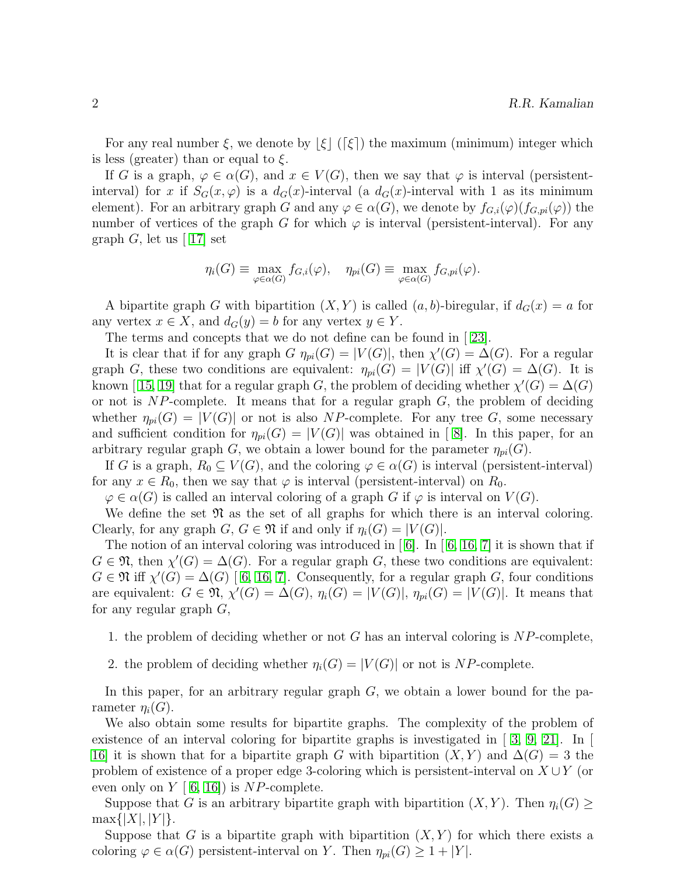For any real number  $\xi$ , we denote by  $|\xi|$  ( $[\xi]$ ) the maximum (minimum) integer which is less (greater) than or equal to  $\xi$ .

If G is a graph,  $\varphi \in \alpha(G)$ , and  $x \in V(G)$ , then we say that  $\varphi$  is interval (persistentinterval) for x if  $S_G(x,\varphi)$  is a  $d_G(x)$ -interval (a  $d_G(x)$ -interval with 1 as its minimum element). For an arbitrary graph G and any  $\varphi \in \alpha(G)$ , we denote by  $f_{G,i}(\varphi)(f_{G,ni}(\varphi))$  the number of vertices of the graph G for which  $\varphi$  is interval (persistent-interval). For any graph G, let us  $\lceil 17 \rceil$  set

$$
\eta_i(G) \equiv \max_{\varphi \in \alpha(G)} f_{G,i}(\varphi), \quad \eta_{pi}(G) \equiv \max_{\varphi \in \alpha(G)} f_{G,pi}(\varphi).
$$

A bipartite graph G with bipartition  $(X, Y)$  is called  $(a, b)$ -biregular, if  $d_G(x) = a$  for any vertex  $x \in X$ , and  $d_G(y) = b$  for any vertex  $y \in Y$ .

The terms and concepts that we do not define can be found in[ [23\]](#page-9-1).

It is clear that if for any graph  $G \eta_{pi}(G) = |V(G)|$ , then  $\chi'(G) = \Delta(G)$ . For a regular graph G, these two conditions are equivalent:  $\eta_{pi}(G) = |V(G)|$  iff  $\chi'(G) = \Delta(G)$ . It is known[15, [19\]](#page-8-2) that for a regular graph G, the problem of deciding whether  $\chi'(G) = \Delta(G)$ or not is  $NP$ -complete. It means that for a regular graph  $G$ , the problem of deciding whether  $\eta_{pi}(G) = |V(G)|$  or not is also NP-complete. For any tree G, some necessary and sufficient condition for  $\eta_{pi}(G) = |V(G)|$  was obtained in [8]. In this paper, for an arbitrary regular graph G, we obtain a lower bound for the parameter  $\eta_{pi}(G)$ .

If G is a graph,  $R_0 \subseteq V(G)$ , and the coloring  $\varphi \in \alpha(G)$  is interval (persistent-interval) for any  $x \in R_0$ , then we say that  $\varphi$  is interval (persistent-interval) on  $R_0$ .

 $\varphi \in \alpha(G)$  is called an interval coloring of a graph G if  $\varphi$  is interval on  $V(G)$ .

We define the set  $\mathfrak{N}$  as the set of all graphs for which there is an interval coloring. Clearly, for any graph  $G, G \in \mathfrak{N}$  if and only if  $\eta_i(G) = |V(G)|$ .

Thenotion of an interval coloring was introduced in  $\lceil 6 \rceil$ . In  $\lceil 6, 16, 7 \rceil$  $\lceil 6, 16, 7 \rceil$  $\lceil 6, 16, 7 \rceil$  $\lceil 6, 16, 7 \rceil$  it is shown that if  $G \in \mathfrak{N}$ , then  $\chi'(G) = \Delta(G)$ . For a regular graph G, these two conditions are equivalent:  $G \in \mathfrak{N}$  iff  $\chi'(G) = \Delta(G)$  [6, [16,](#page-8-5) [7\]](#page-8-6). Consequently, for a regular graph G, four conditions are equivalent:  $G \in \mathfrak{N}, \chi'(G) = \Delta(G), \eta_i(G) = |V(G)|, \eta_{pi}(G) = |V(G)|$ . It means that for any regular graph  $G$ ,

1. the problem of deciding whether or not  $G$  has an interval coloring is  $NP$ -complete,

2. the problem of deciding whether  $\eta_i(G) = |V(G)|$  or not is NP-complete.

In this paper, for an arbitrary regular graph  $G$ , we obtain a lower bound for the parameter  $\eta_i(G)$ .

We also obtain some results for bipartite graphs. The complexity of the problem of existence of an interval coloring for bipartite graphs is investigated in  $\lceil 3, 9, 21 \rceil$  $\lceil 3, 9, 21 \rceil$  $\lceil 3, 9, 21 \rceil$  $\lceil 3, 9, 21 \rceil$ . In [16\]](#page-8-5) it is shown that for a bipartite graph G with bipartition  $(X, Y)$  and  $\Delta(G) = 3$  the problem of existence of a proper edge 3-coloring which is persistent-interval on  $X \cup Y$  (or even only on  $Y | 6, 16$  $Y | 6, 16$  $Y | 6, 16$ ) is NP-complete.

Suppose that G is an arbitrary bipartite graph with bipartition  $(X, Y)$ . Then  $\eta_i(G)$  $\max\{|X|, |Y|\}.$ 

Suppose that G is a bipartite graph with bipartition  $(X, Y)$  for which there exists a coloring  $\varphi \in \alpha(G)$  persistent-interval on Y. Then  $\eta_{pi}(G) \geq 1 + |Y|$ .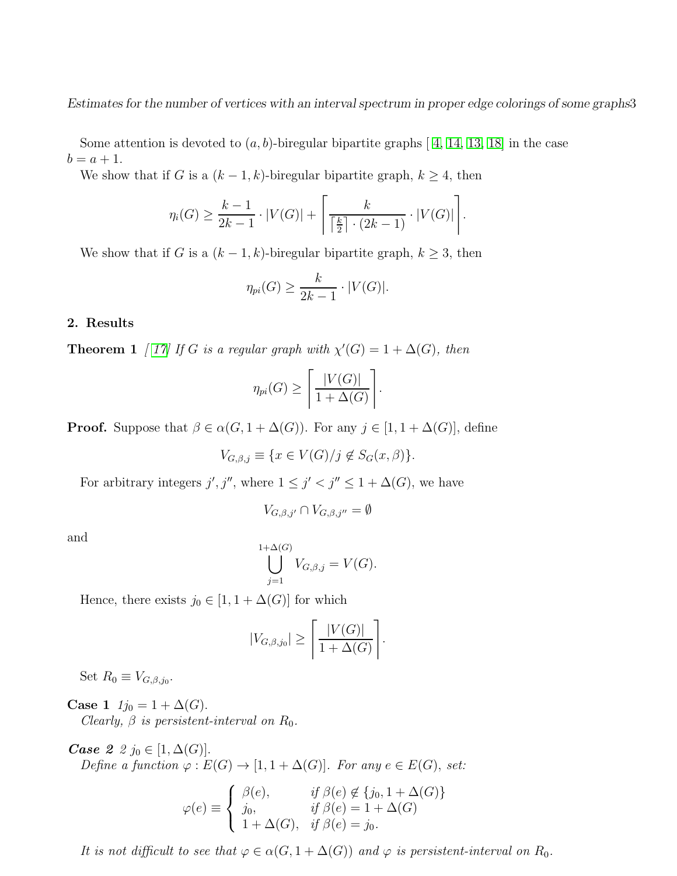Someattention is devoted to  $(a, b)$ -biregular bipartite graphs [4, [14,](#page-8-10) [13,](#page-8-11) [18\]](#page-8-12) in the case  $b = a + 1.$ 

We show that if G is a  $(k-1, k)$ -biregular bipartite graph,  $k \geq 4$ , then

$$
\eta_i(G) \ge \frac{k-1}{2k-1} \cdot |V(G)| + \left\lceil \frac{k}{\left\lceil \frac{k}{2} \right\rceil \cdot (2k-1)} \cdot |V(G)| \right\rceil.
$$

We show that if G is a  $(k-1, k)$ -biregular bipartite graph,  $k \geq 3$ , then

$$
\eta_{pi}(G) \ge \frac{k}{2k-1} \cdot |V(G)|.
$$

### 2. Results

**Theorem 1** [ [17\]](#page-8-0) If G is a regular graph with  $\chi'(G) = 1 + \Delta(G)$ , then

$$
\eta_{pi}(G) \ge \left\lceil \frac{|V(G)|}{1 + \Delta(G)} \right\rceil.
$$

**Proof.** Suppose that  $\beta \in \alpha(G, 1 + \Delta(G))$ . For any  $j \in [1, 1 + \Delta(G)]$ , define

$$
V_{G,\beta,j} \equiv \{ x \in V(G)/j \not\in S_G(x,\beta) \}.
$$

For arbitrary integers  $j', j'',$  where  $1 \leq j' < j'' \leq 1 + \Delta(G)$ , we have

$$
V_{G,\beta,j'} \cap V_{G,\beta,j''} = \emptyset
$$

and

$$
\bigcup_{j=1}^{1+\Delta(G)} V_{G,\beta,j} = V(G).
$$

Hence, there exists  $j_0 \in [1, 1 + \Delta(G)]$  for which

$$
|V_{G,\beta,j_0}| \ge \left\lceil \frac{|V(G)|}{1 + \Delta(G)} \right\rceil.
$$

Set  $R_0 \equiv V_{G,\beta,j_0}$ .

**Case 1**  $1j_0 = 1 + \Delta(G)$ .

Clearly,  $\beta$  is persistent-interval on  $R_0$ .

*Case 2 2*  $j_0 \in [1, \Delta(G)]$ . Define a function  $\varphi : E(G) \to [1, 1 + \Delta(G)]$ . For any  $e \in E(G)$ , set:

$$
\varphi(e) \equiv \begin{cases} \beta(e), & \text{if } \beta(e) \notin \{j_0, 1 + \Delta(G)\} \\ j_0, & \text{if } \beta(e) = 1 + \Delta(G) \\ 1 + \Delta(G), & \text{if } \beta(e) = j_0. \end{cases}
$$

It is not difficult to see that  $\varphi \in \alpha(G, 1 + \Delta(G))$  and  $\varphi$  is persistent-interval on  $R_0$ .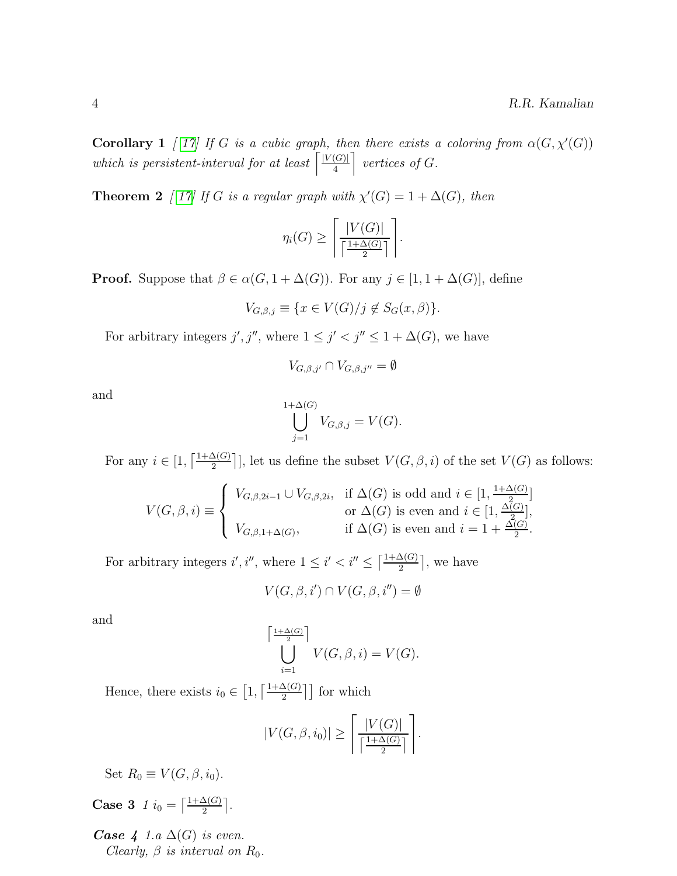**Corollary 1** [ [17\]](#page-8-0) If G is a cubic graph, then there exists a coloring from  $\alpha(G, \chi'(G))$ which is persistent-interval for at least  $\sqrt{\frac{|V(G)|}{4}}$  $\frac{|G|}{4}$  vertices of G.

**Theorem 2** [ [17\]](#page-8-0) If G is a regular graph with  $\chi'(G) = 1 + \Delta(G)$ , then

$$
\eta_i(G) \ge \left\lceil \frac{|V(G)|}{\left\lceil \frac{1+\Delta(G)}{2} \right\rceil} \right\rceil.
$$

**Proof.** Suppose that  $\beta \in \alpha(G, 1 + \Delta(G))$ . For any  $j \in [1, 1 + \Delta(G)]$ , define

$$
V_{G,\beta,j} \equiv \{ x \in V(G)/j \notin S_G(x,\beta) \}.
$$

For arbitrary integers  $j', j'',$  where  $1 \leq j' < j'' \leq 1 + \Delta(G)$ , we have

$$
V_{G,\beta,j'} \cap V_{G,\beta,j''} = \emptyset
$$

and

$$
\bigcup_{j=1}^{1+\Delta(G)} V_{G,\beta,j} = V(G).
$$

For any  $i \in [1, \lceil \frac{1+\Delta(G)}{2} \rceil]$ , let us define the subset  $V(G, \beta, i)$  of the set  $V(G)$  as follows:

$$
V(G,\beta,i) \equiv \begin{cases} V_{G,\beta,2i-1} \cup V_{G,\beta,2i}, & \text{if } \Delta(G) \text{ is odd and } i \in [1, \frac{1+\Delta(G)}{2}]; \\ & \text{or } \Delta(G) \text{ is even and } i \in [1, \frac{\Delta(G)}{2}]; \\ V_{G,\beta,1+\Delta(G)}, & \text{if } \Delta(G) \text{ is even and } i = 1 + \frac{\Delta(G)}{2}.\end{cases}
$$

For arbitrary integers  $i', i''$ , where  $1 \leq i' < i'' \leq \left\lceil \frac{1+\Delta(G)}{2} \right\rceil$ , we have

 $\sqrt{ }$ 

$$
V(G, \beta, i') \cap V(G, \beta, i'') = \emptyset
$$

and

$$
\bigcup_{i=1}^{\frac{1+\Delta(G)}{2}} V(G,\beta,i) = V(G).
$$

Hence, there exists  $i_0 \in \left[1, \left\lceil \frac{1+\Delta(G)}{2} \right\rceil \right]$  for which

$$
|V(G, \beta, i_0)| \ge \left\lceil \frac{|V(G)|}{\left\lceil \frac{1+\Delta(G)}{2} \right\rceil} \right\rceil.
$$

Set  $R_0 \equiv V(G, \beta, i_0)$ .

**Case 3** 1  $i_0 = \left[\frac{1+\Delta(G)}{2}\right]$ .

**Case 4** 1.a  $\Delta(G)$  is even. Clearly,  $\beta$  is interval on  $R_0$ .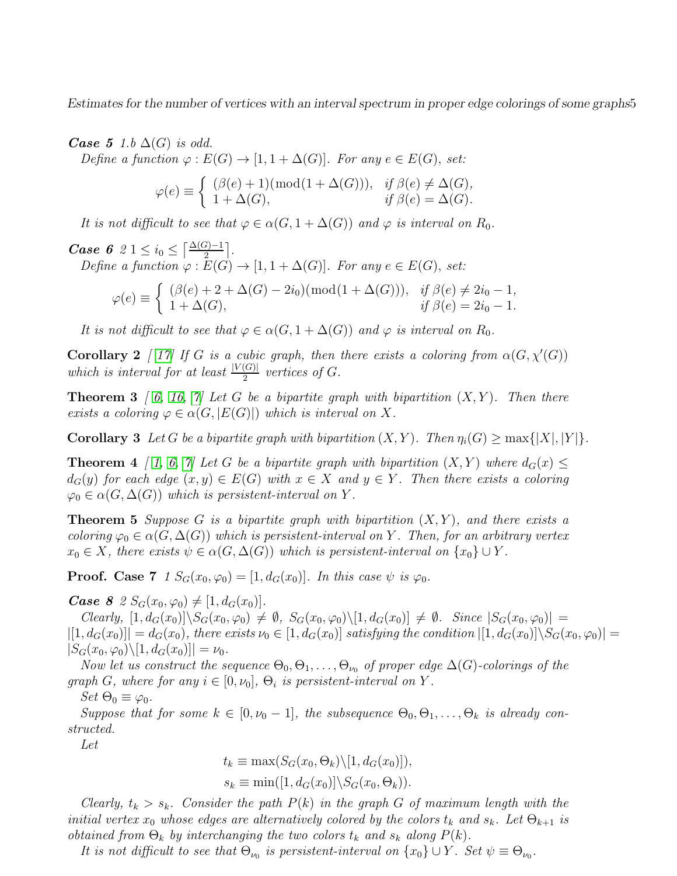**Case 5** 1.b  $\Delta(G)$  is odd.

Define a function  $\varphi : E(G) \to [1, 1 + \Delta(G)]$ . For any  $e \in E(G)$ , set:

$$
\varphi(e) \equiv \begin{cases} (\beta(e) + 1)(\text{mod}(1 + \Delta(G))), & \text{if } \beta(e) \neq \Delta(G), \\ 1 + \Delta(G), & \text{if } \beta(e) = \Delta(G). \end{cases}
$$

It is not difficult to see that  $\varphi \in \alpha(G, 1 + \Delta(G))$  and  $\varphi$  is interval on  $R_0$ .

*Case 6* 2 1  $\leq i_0 \leq \left\lceil \frac{\Delta(G)-1}{2} \right\rceil$ . Define a function  $\varphi : E(G) \to [1, 1 + \Delta(G)]$ . For any  $e \in E(G)$ , set:

$$
\varphi(e) \equiv \begin{cases} (\beta(e) + 2 + \Delta(G) - 2i_0)(\text{mod}(1 + \Delta(G))), & \text{if } \beta(e) \neq 2i_0 - 1, \\ 1 + \Delta(G), & \text{if } \beta(e) = 2i_0 - 1. \end{cases}
$$

It is not difficult to see that  $\varphi \in \alpha(G, 1 + \Delta(G))$  and  $\varphi$  is interval on  $R_0$ .

**Corollary 2** [ [17\]](#page-8-0) If G is a cubic graph, then there exists a coloring from  $\alpha(G, \chi'(G))$ which is interval for at least  $\frac{|V(G)|}{2}$  vertices of G.

**Theorem 3** [ [6,](#page-8-4) [16,](#page-8-5) [7\]](#page-8-6) Let G be a bipartite graph with bipartition  $(X, Y)$ . Then there exists a coloring  $\varphi \in \alpha(G, |E(G)|)$  which is interval on X.

**Corollary 3** Let G be a bipartite graph with bipartition  $(X, Y)$ . Then  $\eta_i(G) \ge \max\{|X|, |Y|\}$ .

**Theorem 4** [ [1,](#page-8-13) [6,](#page-8-4) [7\]](#page-8-6) Let G be a bipartite graph with bipartition  $(X, Y)$  where  $d_G(x) \leq$  $d_G(y)$  for each edge  $(x, y) \in E(G)$  with  $x \in X$  and  $y \in Y$ . Then there exists a coloring  $\varphi_0 \in \alpha(G, \Delta(G))$  which is persistent-interval on Y.

**Theorem 5** Suppose G is a bipartite graph with bipartition  $(X, Y)$ , and there exists a coloring  $\varphi_0 \in \alpha(G, \Delta(G))$  which is persistent-interval on Y. Then, for an arbitrary vertex  $x_0 \in X$ , there exists  $\psi \in \alpha(G, \Delta(G))$  which is persistent-interval on  $\{x_0\} \cup Y$ .

**Proof.** Case 7 1  $S_G(x_0, \varphi_0) = [1, d_G(x_0)]$ . In this case  $\psi$  is  $\varphi_0$ .

**Case 8** 2  $S_G(x_0, \varphi_0) \neq [1, d_G(x_0)].$ 

Clearly,  $[1, d_G(x_0)]\backslash S_G(x_0, \varphi_0) \neq \emptyset$ ,  $S_G(x_0, \varphi_0)\backslash [1, d_G(x_0)] \neq \emptyset$ . Since  $|S_G(x_0, \varphi_0)| =$  $|[1, d_G(x_0)]| = d_G(x_0)$ , there exists  $\nu_0 \in [1, d_G(x_0)]$  satisfying the condition  $|[1, d_G(x_0)] \setminus S_G(x_0, \varphi_0)] =$  $|S_G(x_0, \varphi_0)\rangle[1, d_G(x_0)]| = \nu_0.$ 

Now let us construct the sequence  $\Theta_0, \Theta_1, \ldots, \Theta_{\nu_0}$  of proper edge  $\Delta(G)$ -colorings of the graph G, where for any  $i \in [0, \nu_0]$ ,  $\Theta_i$  is persistent-interval on Y.

Set  $\Theta_0 \equiv \varphi_0$ .

Suppose that for some  $k \in [0, \nu_0 - 1]$ , the subsequence  $\Theta_0, \Theta_1, \ldots, \Theta_k$  is already constructed.

Let

 $t_k \equiv \max(S_G(x_0, \Theta_k) \setminus [1, d_G(x_0)]),$  $s_k \equiv \min([1, d_G(x_0)] \backslash S_G(x_0, \Theta_k)).$ 

Clearly,  $t_k > s_k$ . Consider the path  $P(k)$  in the graph G of maximum length with the initial vertex  $x_0$  whose edges are alternatively colored by the colors  $t_k$  and  $s_k$ . Let  $\Theta_{k+1}$  is obtained from  $\Theta_k$  by interchanging the two colors  $t_k$  and  $s_k$  along  $P(k)$ .

It is not difficult to see that  $\Theta_{\nu_0}$  is persistent-interval on  $\{x_0\} \cup Y$ . Set  $\psi \equiv \Theta_{\nu_0}$ .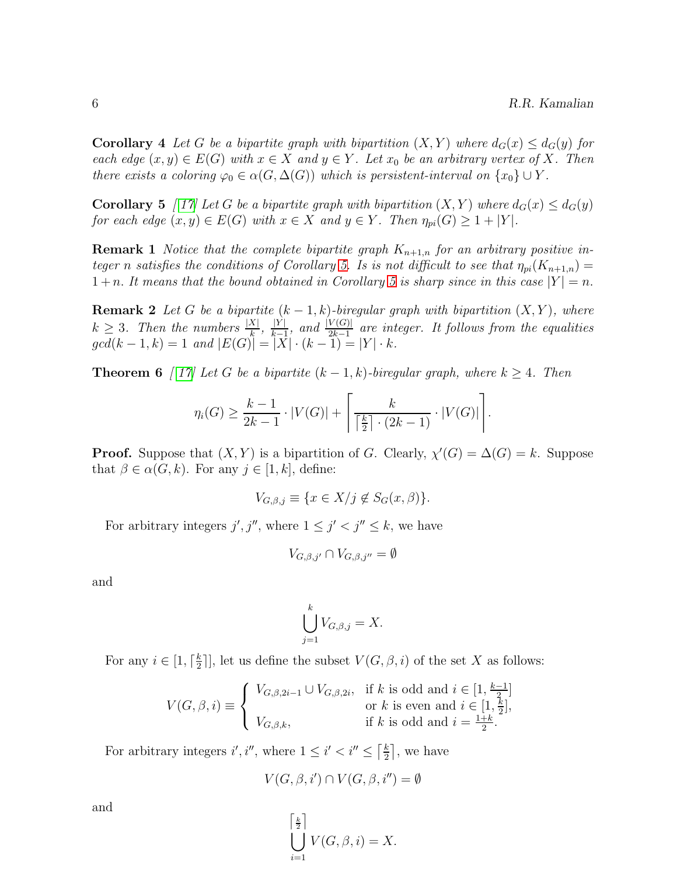**Corollary 4** Let G be a bipartite graph with bipartition  $(X, Y)$  where  $d_G(x) \leq d_G(y)$  for each edge  $(x, y) \in E(G)$  with  $x \in X$  and  $y \in Y$ . Let  $x_0$  be an arbitrary vertex of X. Then there exists a coloring  $\varphi_0 \in \alpha(G, \Delta(G))$  which is persistent-interval on  $\{x_0\} \cup Y$ .

<span id="page-5-0"></span>**Corollary 5** [ [17\]](#page-8-0) Let G be a bipartite graph with bipartition  $(X, Y)$  where  $d_G(x) \leq d_G(y)$ for each edge  $(x, y) \in E(G)$  with  $x \in X$  and  $y \in Y$ . Then  $\eta_{pi}(G) \geq 1 + |Y|$ .

**Remark 1** Notice that the complete bipartite graph  $K_{n+1,n}$  for an arbitrary positive in-teger n satisfies the conditions of Corollary [5.](#page-5-0) Is is not difficult to see that  $\eta_{pi}(K_{n+1,n}) =$  $1 + n$ . It means that the bound obtained in Corollary [5](#page-5-0) is sharp since in this case  $|Y| = n$ .

**Remark 2** Let G be a bipartite  $(k-1, k)$ -biregular graph with bipartition  $(X, Y)$ , where  $k \geq 3$ . Then the numbers  $\frac{|X|}{k}$ ,  $\frac{|Y|}{k-1}$  $\frac{|Y|}{|k-1}$ , and  $\frac{|V(G)|}{2k-1}$  are integer. It follows from the equalities  $gcd(k-1, k) = 1$  and  $|E(G)| = |X| \cdot (k-1) = |Y| \cdot k$ .

**Theorem 6** [ [17\]](#page-8-0) Let G be a bipartite  $(k-1, k)$ -biregular graph, where  $k \geq 4$ . Then

$$
\eta_i(G) \ge \frac{k-1}{2k-1} \cdot |V(G)| + \left\lceil \frac{k}{\left\lceil \frac{k}{2} \right\rceil \cdot (2k-1)} \cdot |V(G)| \right\rceil.
$$

**Proof.** Suppose that  $(X, Y)$  is a bipartition of G. Clearly,  $\chi'(G) = \Delta(G) = k$ . Suppose that  $\beta \in \alpha(G, k)$ . For any  $j \in [1, k]$ , define:

$$
V_{G,\beta,j} \equiv \{ x \in X/j \notin S_G(x,\beta) \}.
$$

For arbitrary integers  $j', j'',$  where  $1 \leq j' < j'' \leq k$ , we have

$$
V_{G,\beta,j'} \cap V_{G,\beta,j''} = \emptyset
$$

and

$$
\bigcup_{j=1}^k V_{G,\beta,j} = X.
$$

For any  $i \in [1, \lceil \frac{k}{2} \rceil]$  $\frac{k}{2}$ , let us define the subset  $V(G, \beta, i)$  of the set X as follows:

$$
V(G, \beta, i) \equiv \begin{cases} V_{G, \beta, 2i-1} \cup V_{G, \beta, 2i}, & \text{if } k \text{ is odd and } i \in [1, \frac{k-1}{2}] \\ \text{or } k \text{ is even and } i \in [1, \frac{k}{2}], \\ V_{G, \beta, k}, & \text{if } k \text{ is odd and } i = \frac{1+k}{2}. \end{cases}
$$

For arbitrary integers i', i'', where  $1 \leq i' < i'' \leq \left\lceil \frac{k}{2} \right\rceil$  $\frac{k}{2}$ , we have

$$
V(G, \beta, i') \cap V(G, \beta, i'') = \emptyset
$$

and

$$
\bigcup_{i=1}^{\left[\frac{k}{2}\right]} V(G,\beta,i) = X.
$$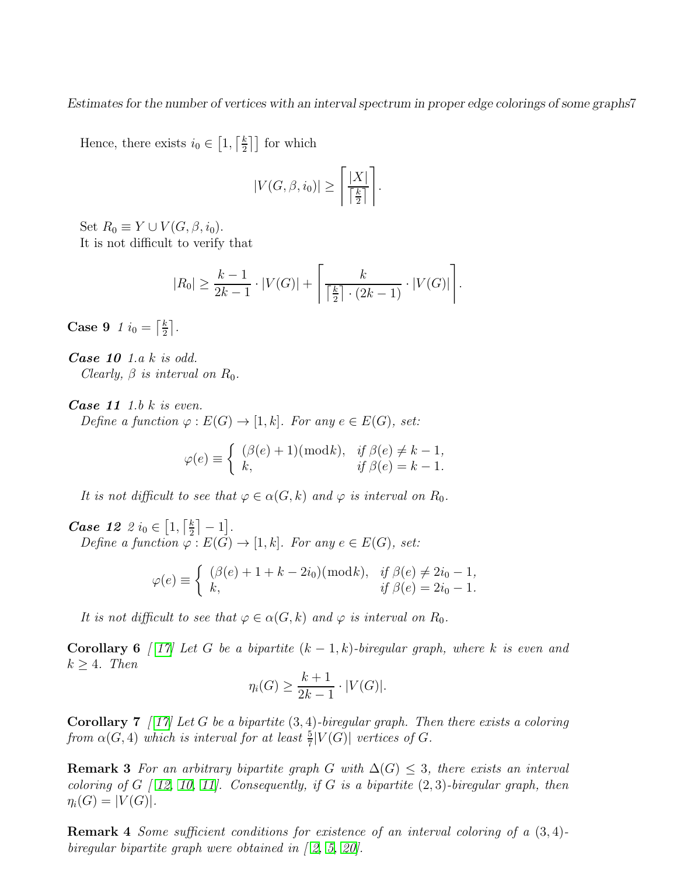Hence, there exists  $i_0 \in [1, \lceil \frac{k}{2} \rceil]$  $\frac{k}{2}$ ] for which

$$
|V(G, \beta, i_0)| \ge \left\lceil \frac{|X|}{\left\lceil \frac{k}{2} \right\rceil} \right\rceil.
$$

Set  $R_0 \equiv Y \cup V(G, \beta, i_0)$ . It is not difficult to verify that

$$
|R_0| \ge \frac{k-1}{2k-1} \cdot |V(G)| + \left\lceil \frac{k}{\left\lceil \frac{k}{2} \right\rceil \cdot (2k-1)} \cdot |V(G)| \right\rceil.
$$

Case 9 1  $i_0 = \left[\frac{k}{2}\right]$  $\frac{k}{2}$ .

Case 10 1.a k is odd. Clearly,  $\beta$  is interval on  $R_0$ .

**Case 11** 1.b  $k$  is even.

Define a function  $\varphi : E(G) \to [1, k]$ . For any  $e \in E(G)$ , set:

$$
\varphi(e) \equiv \begin{cases} (\beta(e) + 1)(\text{mod}k), & \text{if } \beta(e) \neq k - 1, \\ k, & \text{if } \beta(e) = k - 1. \end{cases}
$$

It is not difficult to see that  $\varphi \in \alpha(G, k)$  and  $\varphi$  is interval on  $R_0$ .

*Case 12 2*  $i_0 \in [1, \lceil \frac{k}{2} \rceil]$  $\frac{k}{2}$  |  $-1$  |. Define a function  $\varphi : E(G) \to [1, k]$ . For any  $e \in E(G)$ , set:

$$
\varphi(e) \equiv \begin{cases} (\beta(e) + 1 + k - 2i_0)(\text{mod } k), & \text{if } \beta(e) \neq 2i_0 - 1, \\ k, & \text{if } \beta(e) = 2i_0 - 1. \end{cases}
$$

It is not difficult to see that  $\varphi \in \alpha(G, k)$  and  $\varphi$  is interval on  $R_0$ .

**Corollary 6** [ [17\]](#page-8-0) Let G be a bipartite  $(k-1, k)$ -biregular graph, where k is even and  $k \geq 4$ . Then

$$
\eta_i(G) \ge \frac{k+1}{2k-1} \cdot |V(G)|.
$$

**Corollary 7** [ [17\]](#page-8-0) Let G be a bipartite  $(3, 4)$ -biregular graph. Then there exists a coloring from  $\alpha(G, 4)$  which is interval for at least  $\frac{5}{7}|V(G)|$  vertices of G.

**Remark 3** For an arbitrary bipartite graph G with  $\Delta(G) \leq 3$ , there exists an interval coloring of  $G \mid 12, 10, 11$  $G \mid 12, 10, 11$  $G \mid 12, 10, 11$  $G \mid 12, 10, 11$ . Consequently, if G is a bipartite  $(2, 3)$ -biregular graph, then  $\eta_i(G) = |V(G)|$ .

Remark 4 Some sufficient conditions for existence of an interval coloring of a (3, 4) biregular bipartite graph were obtained in  $\lbrack 2, 5, 20 \rbrack$  $\lbrack 2, 5, 20 \rbrack$  $\lbrack 2, 5, 20 \rbrack$  $\lbrack 2, 5, 20 \rbrack$ .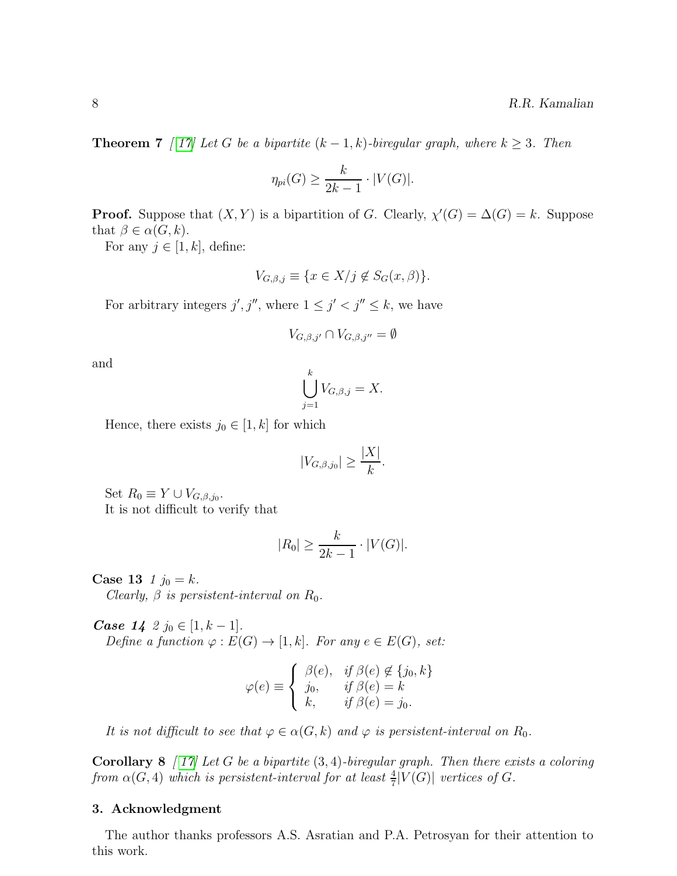**Theorem 7** [ [17\]](#page-8-0) Let G be a bipartite  $(k-1, k)$ -biregular graph, where  $k \geq 3$ . Then

$$
\eta_{pi}(G) \ge \frac{k}{2k-1} \cdot |V(G)|.
$$

**Proof.** Suppose that  $(X, Y)$  is a bipartition of G. Clearly,  $\chi'(G) = \Delta(G) = k$ . Suppose that  $\beta \in \alpha(G, k)$ .

For any  $j \in [1, k]$ , define:

$$
V_{G,\beta,j} \equiv \{ x \in X/j \notin S_G(x,\beta) \}.
$$

For arbitrary integers  $j', j''$ , where  $1 \leq j' < j'' \leq k$ , we have

$$
V_{G,\beta,j'} \cap V_{G,\beta,j''} = \emptyset
$$

and

$$
\bigcup_{j=1}^k V_{G,\beta,j} = X.
$$

Hence, there exists  $j_0 \in [1, k]$  for which

$$
|V_{G,\beta,j_0}| \ge \frac{|X|}{k}.
$$

Set  $R_0 \equiv Y \cup V_{G,\beta,j_0}$ . It is not difficult to verify that

$$
|R_0| \ge \frac{k}{2k-1} \cdot |V(G)|.
$$

**Case 13**  $1 j_0 = k$ .

Clearly,  $\beta$  is persistent-interval on  $R_0$ .

*Case*  $14 \; 2 \; j_0 \in [1, k-1].$ Define a function  $\varphi : E(G) \to [1, k]$ . For any  $e \in E(G)$ , set:

$$
\varphi(e) \equiv \begin{cases} \beta(e), & \text{if } \beta(e) \notin \{j_0, k\} \\ j_0, & \text{if } \beta(e) = k \\ k, & \text{if } \beta(e) = j_0. \end{cases}
$$

It is not difficult to see that  $\varphi \in \alpha(G, k)$  and  $\varphi$  is persistent-interval on  $R_0$ .

**Corollary 8** [17] Let G be a bipartite  $(3, 4)$ -biregular graph. Then there exists a coloring from  $\alpha(G, 4)$  which is persistent-interval for at least  $\frac{4}{7}|V(G)|$  vertices of G.

#### 3. Acknowledgment

The author thanks professors A.S. Asratian and P.A. Petrosyan for their attention to this work.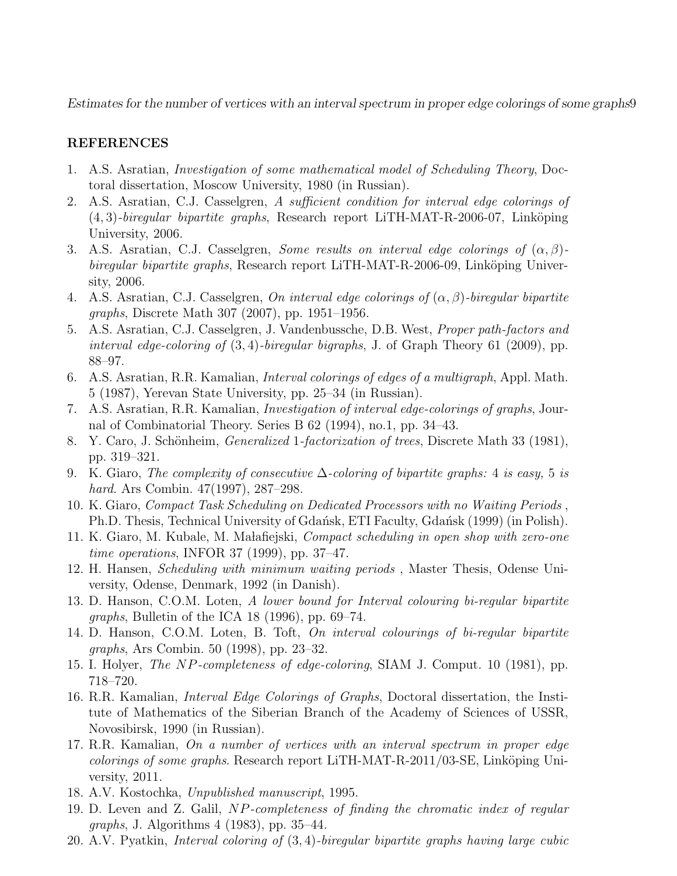## <span id="page-8-13"></span>REFERENCES

- <span id="page-8-17"></span>1. A.S. Asratian, Investigation of some mathematical model of Scheduling Theory, Doctoral dissertation, Moscow University, 1980 (in Russian).
- 2. A.S. Asratian, C.J. Casselgren, A sufficient condition for interval edge colorings of  $(4, 3)$ -biregular bipartite graphs, Research report LiTH-MAT-R-2006-07, Linköping University, 2006.
- <span id="page-8-7"></span>3. A.S. Asratian, C.J. Casselgren, Some results on interval edge colorings of  $(\alpha, \beta)$ biregular bipartite graphs, Research report LiTH-MAT-R-2006-09, Linköping University, 2006.
- <span id="page-8-18"></span><span id="page-8-9"></span>4. A.S. Asratian, C.J. Casselgren, On interval edge colorings of  $(\alpha, \beta)$ -biregular bipartite graphs, Discrete Math 307 (2007), pp. 1951–1956.
- 5. A.S. Asratian, C.J. Casselgren, J. Vandenbussche, D.B. West, Proper path-factors and interval edge-coloring of  $(3, 4)$ -biregular bigraphs, J. of Graph Theory 61 (2009), pp. 88–97.
- <span id="page-8-4"></span>6. A.S. Asratian, R.R. Kamalian, Interval colorings of edges of a multigraph, Appl. Math. 5 (1987), Yerevan State University, pp. 25–34 (in Russian).
- <span id="page-8-6"></span>7. A.S. Asratian, R.R. Kamalian, Investigation of interval edge-colorings of graphs, Journal of Combinatorial Theory. Series B 62 (1994), no.1, pp. 34–43.
- <span id="page-8-8"></span><span id="page-8-3"></span>8. Y. Caro, J. Schönheim, *Generalized* 1-factorization of trees, Discrete Math 33 (1981), pp. 319–321.
- 9. K. Giaro, The complexity of consecutive  $\Delta$ -coloring of bipartite graphs: 4 is easy, 5 is hard. Ars Combin. 47(1997), 287–298.
- <span id="page-8-15"></span>10. K. Giaro, Compact Task Scheduling on Dedicated Processors with no Waiting Periods , Ph.D. Thesis, Technical University of Gdańsk, ETI Faculty, Gdańsk (1999) (in Polish).
- <span id="page-8-16"></span>11. K. Giaro, M. Kubale, M. Malafiejski, *Compact scheduling in open shop with zero-one* time operations, INFOR 37 (1999), pp. 37–47.
- <span id="page-8-14"></span>12. H. Hansen, Scheduling with minimum waiting periods , Master Thesis, Odense University, Odense, Denmark, 1992 (in Danish).
- <span id="page-8-11"></span>13. D. Hanson, C.O.M. Loten, A lower bound for Interval colouring bi-regular bipartite *graphs*, Bulletin of the ICA 18  $(1996)$ , pp. 69–74.
- <span id="page-8-10"></span>14. D. Hanson, C.O.M. Loten, B. Toft, On interval colourings of bi-regular bipartite graphs, Ars Combin. 50 (1998), pp. 23–32.
- <span id="page-8-5"></span><span id="page-8-1"></span>15. I. Holyer, The NP-completeness of edge-coloring, SIAM J. Comput. 10 (1981), pp. 718–720.
- 16. R.R. Kamalian, Interval Edge Colorings of Graphs, Doctoral dissertation, the Institute of Mathematics of the Siberian Branch of the Academy of Sciences of USSR, Novosibirsk, 1990 (in Russian).
- <span id="page-8-0"></span>17. R.R. Kamalian, On a number of vertices with an interval spectrum in proper edge *colorings of some graphs.* Research report LiTH-MAT-R-2011/03-SE, Linköping University, 2011.
- <span id="page-8-12"></span><span id="page-8-2"></span>18. A.V. Kostochka, Unpublished manuscript, 1995.
- 19. D. Leven and Z. Galil, NP-completeness of finding the chromatic index of regular graphs, J. Algorithms 4 (1983), pp. 35–44.
- <span id="page-8-19"></span>20. A.V. Pyatkin, Interval coloring of (3, 4)-biregular bipartite graphs having large cubic